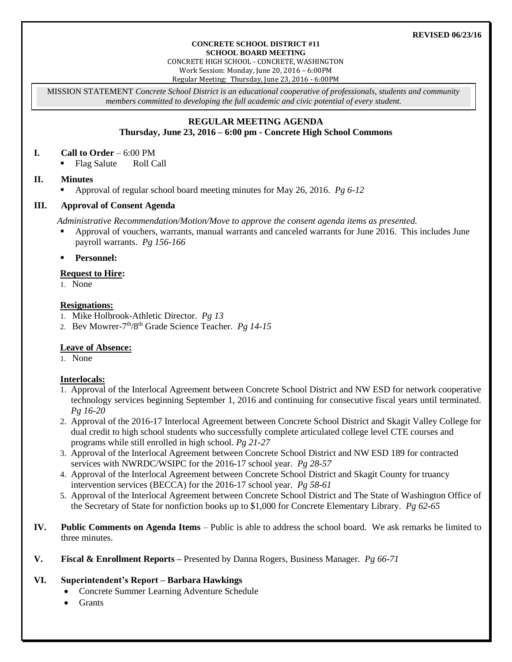#### **REVISED 06/23/16**

#### **CONCRETE SCHOOL DISTRICT #11 SCHOOL BOARD MEETING**

CONCRETE HIGH SCHOOL - CONCRETE, WASHINGTON

Work Session: Monday, June 20, 2016 – 6:00PM

Regular Meeting: Thursday, June 23, 2016 - 6:00PM

MISSION STATEMENT *Concrete School District is an educational cooperative of professionals, students and community members committed to developing the full academic and civic potential of every student.*

# **REGULAR MEETING AGENDA Thursday, June 23, 2016 – 6:00 pm - Concrete High School Commons**

#### **I. Call to Order** – 6:00 PM

• Flag Salute Roll Call

## **II. Minutes**

Approval of regular school board meeting minutes for May 26, 2016. *Pg 6-12*

## **III. Approval of Consent Agenda**

*Administrative Recommendation/Motion/Move to approve the consent agenda items as presented.*

- Approval of vouchers, warrants, manual warrants and canceled warrants for June 2016. This includes June payroll warrants. *Pg 156-166*
- **Personnel:**

## **Request to Hire:**

1. None

## **Resignations:**

- 1. Mike Holbrook-Athletic Director. *Pg 13*
- 2. Bev Mowrer-7 th/8th Grade Science Teacher. *Pg 14-15*

# **Leave of Absence:**

1. None

# **Interlocals:**

- 1. Approval of the Interlocal Agreement between Concrete School District and NW ESD for network cooperative technology services beginning September 1, 2016 and continuing for consecutive fiscal years until terminated. *Pg 16-20*
- 2. Approval of the 2016-17 Interlocal Agreement between Concrete School District and Skagit Valley College for dual credit to high school students who successfully complete articulated college level CTE courses and programs while still enrolled in high school. *Pg 21-27*
- 3. Approval of the Interlocal Agreement between Concrete School District and NW ESD 189 for contracted services with NWRDC/WSIPC for the 2016-17 school year. *Pg 28-57*
- 4. Approval of the Interlocal Agreement between Concrete School District and Skagit County for truancy intervention services (BECCA) for the 2016-17 school year. *Pg 58-61*
- 5. Approval of the Interlocal Agreement between Concrete School District and The State of Washington Office of the Secretary of State for nonfiction books up to \$1,000 for Concrete Elementary Library. *Pg 62-65*
- **IV. Public Comments on Agenda Items** Public is able to address the school board. We ask remarks be limited to three minutes.
- **V. Fiscal & Enrollment Reports –** Presented by Danna Rogers, Business Manager. *Pg 66-71*

# **VI. Superintendent's Report – Barbara Hawkings**

- Concrete Summer Learning Adventure Schedule
- Grants